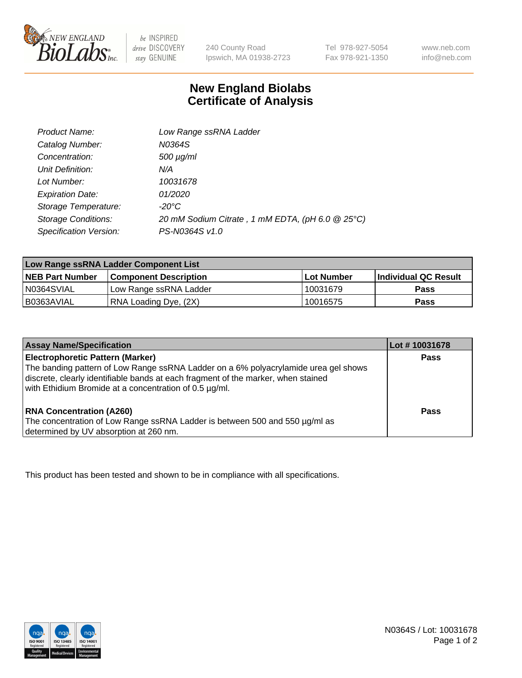

be INSPIRED drive DISCOVERY stay GENUINE

240 County Road Ipswich, MA 01938-2723

Tel 978-927-5054 Fax 978-921-1350 www.neb.com info@neb.com

## **New England Biolabs Certificate of Analysis**

| Product Name:              | Low Range ssRNA Ladder                           |
|----------------------------|--------------------------------------------------|
| Catalog Number:            | N0364S                                           |
| Concentration:             | $500 \mu g/ml$                                   |
| Unit Definition:           | N/A                                              |
| Lot Number:                | 10031678                                         |
| <b>Expiration Date:</b>    | 01/2020                                          |
| Storage Temperature:       | -20°C                                            |
| <b>Storage Conditions:</b> | 20 mM Sodium Citrate, 1 mM EDTA, (pH 6.0 @ 25°C) |
| Specification Version:     | PS-N0364S v1.0                                   |

| Low Range ssRNA Ladder Component List |                              |            |                      |  |
|---------------------------------------|------------------------------|------------|----------------------|--|
| <b>NEB Part Number</b>                | <b>Component Description</b> | Lot Number | Individual QC Result |  |
| IN0364SVIAL                           | Low Range ssRNA Ladder       | 10031679   | <b>Pass</b>          |  |
| B0363AVIAL                            | RNA Loading Dye, (2X)        | 10016575   | <b>Pass</b>          |  |

| <b>Assay Name/Specification</b>                                                                                                                                                                                                                                               | Lot #10031678 |
|-------------------------------------------------------------------------------------------------------------------------------------------------------------------------------------------------------------------------------------------------------------------------------|---------------|
| <b>Electrophoretic Pattern (Marker)</b><br>The banding pattern of Low Range ssRNA Ladder on a 6% polyacrylamide urea gel shows<br>discrete, clearly identifiable bands at each fragment of the marker, when stained<br>with Ethidium Bromide at a concentration of 0.5 µg/ml. | <b>Pass</b>   |
| <b>RNA Concentration (A260)</b><br>The concentration of Low Range ssRNA Ladder is between 500 and 550 µg/ml as<br>determined by UV absorption at 260 nm.                                                                                                                      | <b>Pass</b>   |

This product has been tested and shown to be in compliance with all specifications.